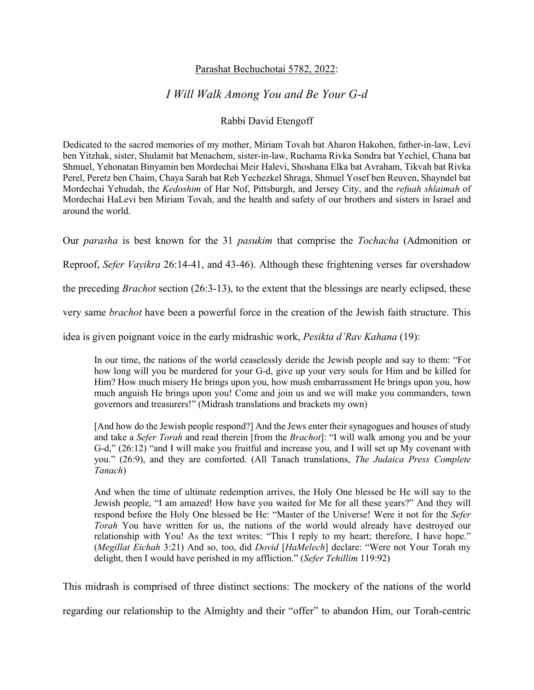## Parashat Bechuchotai 5782, 2022:

## *I Will Walk Among You and Be Your G-d*

## Rabbi David Etengoff

Dedicated to the sacred memories of my mother, Miriam Tovah bat Aharon Hakohen, father-in-law, Levi ben Yitzhak, sister, Shulamit bat Menachem, sister-in-law, Ruchama Rivka Sondra bat Yechiel, Chana bat Shmuel, Yehonatan Binyamin ben Mordechai Meir Halevi, Shoshana Elka bat Avraham, Tikvah bat Rivka Perel, Peretz ben Chaim, Chaya Sarah bat Reb Yechezkel Shraga, Shmuel Yosef ben Reuven, Shayndel bat Mordechai Yehudah, the *Kedoshim* of Har Nof, Pittsburgh, and Jersey City, and the *refuah shlaimah* of Mordechai HaLevi ben Miriam Tovah, and the health and safety of our brothers and sisters in Israel and around the world.

Our *parasha* is best known for the 31 *pasukim* that comprise the *Tochacha* (Admonition or

Reproof, *Sefer Vayikra* 26:14-41, and 43-46). Although these frightening verses far overshadow

the preceding *Brachot* section (26:3-13), to the extent that the blessings are nearly eclipsed, these

very same *brachot* have been a powerful force in the creation of the Jewish faith structure. This

idea is given poignant voice in the early midrashic work, *Pesikta d'Rav Kahana* (19):

In our time, the nations of the world ceaselessly deride the Jewish people and say to them: "For how long will you be murdered for your G-d, give up your very souls for Him and be killed for Him? How much misery He brings upon you, how mush embarrassment He brings upon you, how much anguish He brings upon you! Come and join us and we will make you commanders, town governors and treasurers!" (Midrash translations and brackets my own)

[And how do the Jewish people respond?] And the Jews enter their synagogues and houses of study and take a *Sefer Torah* and read therein [from the *Brachot*]: "I will walk among you and be your G-d," (26:12) "and I will make you fruitful and increase you, and I will set up My covenant with you." (26:9), and they are comforted. (All Tanach translations, *The Judaica Press Complete Tanach*)

And when the time of ultimate redemption arrives, the Holy One blessed be He will say to the Jewish people, "I am amazed! How have you waited for Me for all these years?" And they will respond before the Holy One blessed be He: "Master of the Universe! Were it not for the *Sefer Torah* You have written for us, the nations of the world would already have destroyed our relationship with You! As the text writes: "This I reply to my heart; therefore, I have hope." (*Megillat Eichah* 3:21) And so, too, did *Dovid* [*HaMelech*] declare: "Were not Your Torah my delight, then I would have perished in my affliction." (*Sefer Tehillim* 119:92)

This midrash is comprised of three distinct sections: The mockery of the nations of the world

regarding our relationship to the Almighty and their "offer" to abandon Him, our Torah-centric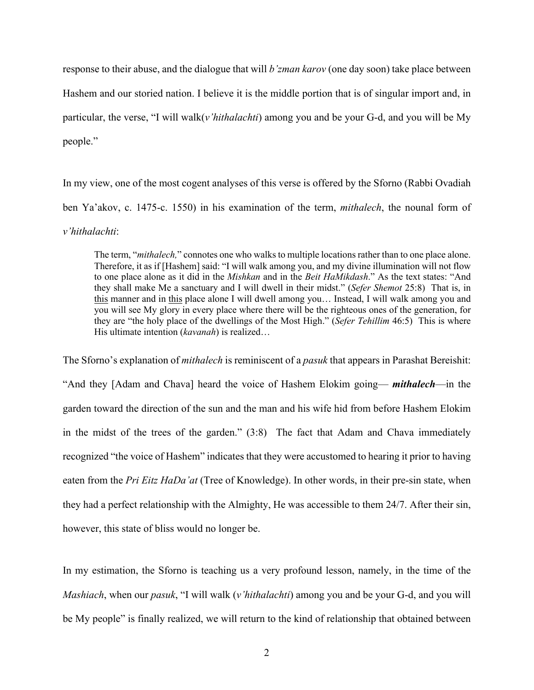response to their abuse, and the dialogue that will *b'zman karov* (one day soon) take place between Hashem and our storied nation. I believe it is the middle portion that is of singular import and, in particular, the verse, "I will walk(*v'hithalachti*) among you and be your G-d, and you will be My people."

In my view, one of the most cogent analyses of this verse is offered by the Sforno (Rabbi Ovadiah ben Ya'akov, c. 1475-c. 1550) in his examination of the term, *mithalech*, the nounal form of *v'hithalachti*:

The term, "*mithalech,*" connotes one who walks to multiple locations rather than to one place alone. Therefore, it as if [Hashem] said: "I will walk among you, and my divine illumination will not flow to one place alone as it did in the *Mishkan* and in the *Beit HaMikdash*." As the text states: "And they shall make Me a sanctuary and I will dwell in their midst." (*Sefer Shemot* 25:8) That is, in this manner and in this place alone I will dwell among you… Instead, I will walk among you and you will see My glory in every place where there will be the righteous ones of the generation, for they are "the holy place of the dwellings of the Most High." (*Sefer Tehillim* 46:5) This is where His ultimate intention (*kavanah*) is realized…

The Sforno's explanation of *mithalech* is reminiscent of a *pasuk* that appears in Parashat Bereishit: "And they [Adam and Chava] heard the voice of Hashem Elokim going— *mithalech*—in the garden toward the direction of the sun and the man and his wife hid from before Hashem Elokim in the midst of the trees of the garden." (3:8) The fact that Adam and Chava immediately recognized "the voice of Hashem" indicates that they were accustomed to hearing it prior to having eaten from the *Pri Eitz HaDa'at* (Tree of Knowledge). In other words, in their pre-sin state, when they had a perfect relationship with the Almighty, He was accessible to them 24/7. After their sin, however, this state of bliss would no longer be.

In my estimation, the Sforno is teaching us a very profound lesson, namely, in the time of the *Mashiach*, when our *pasuk*, "I will walk (*v'hithalachti*) among you and be your G-d, and you will be My people" is finally realized, we will return to the kind of relationship that obtained between